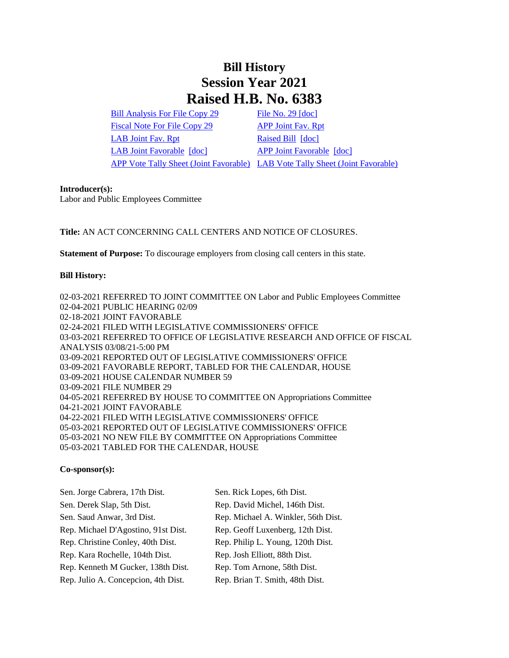## **Bill History Session Year 2021 Raised H.B. No. 6383**

[Bill Analysis For File Copy 29](/2021/BA/PDF/2021HB-06383-R000029-BA.PDF) [File No. 29](/2021/FC/PDF/2021HB-06383-R000029-FC.PDF) [\[doc\]](/2021/FC/PDF/2021HB-06383-R000029-FC.PDF) [Fiscal Note For File Copy 29](/2021/FN/PDF/2021HB-06383-R000029-FN.PDF) [APP Joint Fav. Rpt](/2021/JFR/H/PDF/2021HB-06383-R00APP-JFR.PDF) [LAB Joint Fav. Rpt](/2021/JFR/H/PDF/2021HB-06383-R00LAB-JFR.PDF) [Raised Bill](/2021/TOB/H/PDF/2021HB-06383-R00-HB.PDF) [\[doc\]](https://search.cga.state.ct.us/dl2021/TOB/DOC/2021HB-06383-R00-HB.DOCX) [LAB Joint Favorable](/2021/TOB/H/PDF/2021HB-06383-R01-HB.PDF) [\[doc\]](https://search.cga.state.ct.us/dl2021/TOB/DOC/2021HB-06383-R01-HB.DOCX) [APP Joint Favorable](/2021/TOB/H/PDF/2021HB-06383-R02-HB.PDF) [\[doc\]](https://search.cga.state.ct.us/dl2021/TOB/DOC/2021HB-06383-R02-HB.DOCX)

[APP Vote Tally Sheet \(Joint Favorable\)](/2021/TS/H/PDF/2021HB-06383-R00APP-CV32-TS.PDF) [LAB Vote Tally Sheet \(Joint Favorable\)](/2021/TS/H/PDF/2021HB-06383-R00LAB-CV44-TS.PDF)

## **Introducer(s):**

Labor and Public Employees Committee

**Title:** AN ACT CONCERNING CALL CENTERS AND NOTICE OF CLOSURES.

**Statement of Purpose:** To discourage employers from closing call centers in this state.

## **Bill History:**

02-03-2021 REFERRED TO JOINT COMMITTEE ON Labor and Public Employees Committee 02-04-2021 PUBLIC HEARING 02/09 02-18-2021 JOINT FAVORABLE 02-24-2021 FILED WITH LEGISLATIVE COMMISSIONERS' OFFICE 03-03-2021 REFERRED TO OFFICE OF LEGISLATIVE RESEARCH AND OFFICE OF FISCAL ANALYSIS 03/08/21-5:00 PM 03-09-2021 REPORTED OUT OF LEGISLATIVE COMMISSIONERS' OFFICE 03-09-2021 FAVORABLE REPORT, TABLED FOR THE CALENDAR, HOUSE 03-09-2021 HOUSE CALENDAR NUMBER 59 03-09-2021 FILE NUMBER 29 04-05-2021 REFERRED BY HOUSE TO COMMITTEE ON Appropriations Committee 04-21-2021 JOINT FAVORABLE 04-22-2021 FILED WITH LEGISLATIVE COMMISSIONERS' OFFICE 05-03-2021 REPORTED OUT OF LEGISLATIVE COMMISSIONERS' OFFICE 05-03-2021 NO NEW FILE BY COMMITTEE ON Appropriations Committee 05-03-2021 TABLED FOR THE CALENDAR, HOUSE

## **Co-sponsor(s):**

| Sen. Jorge Cabrera, 17th Dist.      | Sen. Rick Lopes, 6th Dist.          |
|-------------------------------------|-------------------------------------|
| Sen. Derek Slap, 5th Dist.          | Rep. David Michel, 146th Dist.      |
| Sen. Saud Anwar, 3rd Dist.          | Rep. Michael A. Winkler, 56th Dist. |
| Rep. Michael D'Agostino, 91st Dist. | Rep. Geoff Luxenberg, 12th Dist.    |
| Rep. Christine Conley, 40th Dist.   | Rep. Philip L. Young, 120th Dist.   |
| Rep. Kara Rochelle, 104th Dist.     | Rep. Josh Elliott, 88th Dist.       |
| Rep. Kenneth M Gucker, 138th Dist.  | Rep. Tom Arnone, 58th Dist.         |
| Rep. Julio A. Concepcion, 4th Dist. | Rep. Brian T. Smith, 48th Dist.     |